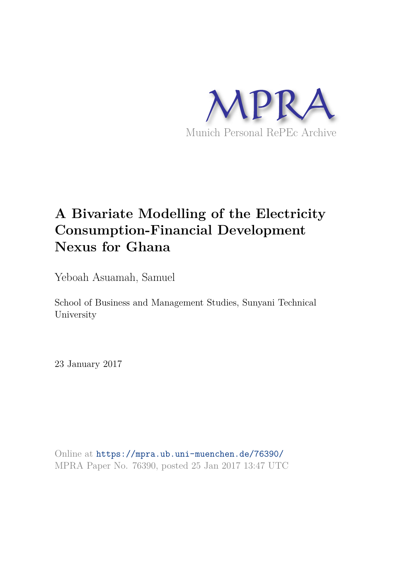

# **A Bivariate Modelling of the Electricity Consumption-Financial Development Nexus for Ghana**

Yeboah Asuamah, Samuel

School of Business and Management Studies, Sunyani Technical University

23 January 2017

Online at https://mpra.ub.uni-muenchen.de/76390/ MPRA Paper No. 76390, posted 25 Jan 2017 13:47 UTC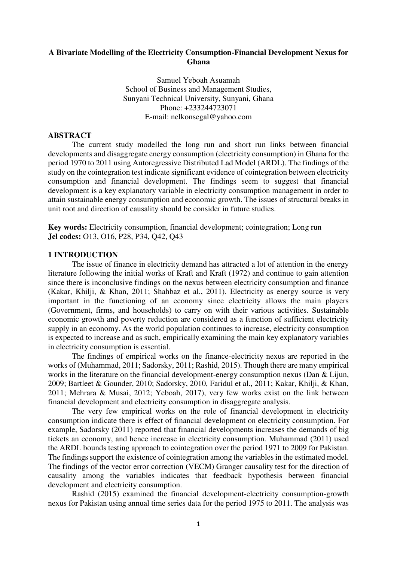## **A Bivariate Modelling of the Electricity Consumption-Financial Development Nexus for Ghana**

Samuel Yeboah Asuamah School of Business and Management Studies, Sunyani Technical University, Sunyani, Ghana Phone: +233244723071 E-mail: nelkonsegal@yahoo.com

## **ABSTRACT**

The current study modelled the long run and short run links between financial developments and disaggregate energy consumption (electricity consumption) in Ghana for the period 1970 to 2011 using Autoregressive Distributed Lad Model (ARDL). The findings of the study on the cointegration test indicate significant evidence of cointegration between electricity consumption and financial development. The findings seem to suggest that financial development is a key explanatory variable in electricity consumption management in order to attain sustainable energy consumption and economic growth. The issues of structural breaks in unit root and direction of causality should be consider in future studies.

**Key words:** Electricity consumption, financial development; cointegration; Long run **Jel codes:** O13, O16, P28, P34, Q42, Q43

#### **1 INTRODUCTION**

The issue of finance in electricity demand has attracted a lot of attention in the energy literature following the initial works of Kraft and Kraft (1972) and continue to gain attention since there is inconclusive findings on the nexus between electricity consumption and finance (Kakar, Khilji, & Khan, 2011; Shahbaz et al., 2011). Electricity as energy source is very important in the functioning of an economy since electricity allows the main players (Government, firms, and households) to carry on with their various activities. Sustainable economic growth and poverty reduction are considered as a function of sufficient electricity supply in an economy. As the world population continues to increase, electricity consumption is expected to increase and as such, empirically examining the main key explanatory variables in electricity consumption is essential.

 The findings of empirical works on the finance-electricity nexus are reported in the works of (Muhammad, 2011; Sadorsky, 2011; Rashid, 2015). Though there are many empirical works in the literature on the financial development-energy consumption nexus (Dan & Lijun, 2009; Bartleet & Gounder, 2010; Sadorsky, 2010, Faridul et al., 2011; Kakar, Khilji, & Khan, 2011; Mehrara & Musai, 2012; Yeboah, 2017), very few works exist on the link between financial development and electricity consumption in disaggregate analysis.

The very few empirical works on the role of financial development in electricity consumption indicate there is effect of financial development on electricity consumption. For example, Sadorsky (2011) reported that financial developments increases the demands of big tickets an economy, and hence increase in electricity consumption. Muhammad (2011) used the ARDL bounds testing approach to cointegration over the period 1971 to 2009 for Pakistan. The findings support the existence of cointegration among the variables in the estimated model. The findings of the vector error correction (VECM) Granger causality test for the direction of causality among the variables indicates that feedback hypothesis between financial development and electricity consumption.

 Rashid (2015) examined the financial development-electricity consumption-growth nexus for Pakistan using annual time series data for the period 1975 to 2011. The analysis was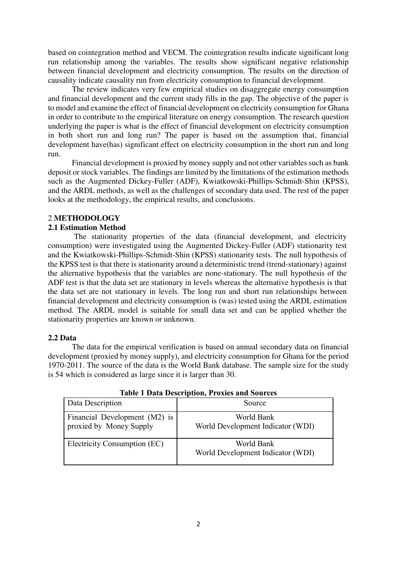based on cointegration method and VECM. The cointegration results indicate significant long run relationship among the variables. The results show significant negative relationship between financial development and electricity consumption. The results on the direction of causality indicate causality run from electricity consumption to financial development.

 The review indicates very few empirical studies on disaggregate energy consumption and financial development and the current study fills in the gap. The objective of the paper is to model and examine the effect of financial development on electricity consumption for Ghana in order to contribute to the empirical literature on energy consumption. The research question underlying the paper is what is the effect of financial development on electricity consumption in both short run and long run? The paper is based on the assumption that, financial development have(has) significant effect on electricity consumption in the short run and long run.

Financial development is proxied by money supply and not other variables such as bank deposit or stock variables. The findings are limited by the limitations of the estimation methods such as the Augmented Dickey-Fuller (ADF), Kwiatkowski-Phillips-Schmidt-Shin (KPSS), and the ARDL methods, as well as the challenges of secondary data used. The rest of the paper looks at the methodology, the empirical results, and conclusions.

#### 2 **METHODOLOGY**

#### **2.1 Estimation Method**

 The stationarity properties of the data (financial development, and electricity consumption) were investigated using the Augmented Dickey-Fuller (ADF) stationarity test and the Kwiatkowski-Phillips-Schmidt-Shin (KPSS) stationarity tests. The null hypothesis of the KPSS test is that there is stationarity around a deterministic trend [\(trend-stationary\)](https://en.wikipedia.org/wiki/Trend_stationary) against the alternative hypothesis that the variables are none-stationary. The null hypothesis of the ADF test is that the data set are stationary in levels whereas the alternative hypothesis is that the data set are not stationary in levels. The long run and short run relationships between financial development and electricity consumption is (was) tested using the ARDL estimation method. The ARDL model is suitable for small data set and can be applied whether the stationarity properties are known or unknown.

#### **2.2 Data**

The data for the empirical verification is based on annual secondary data on financial development (proxied by money supply), and electricity consumption for Ghana for the period 1970-2011. The source of the data is the World Bank database. The sample size for the study is 54 which is considered as large since it is larger than 30.

| Data Description                                         | Source                                          |
|----------------------------------------------------------|-------------------------------------------------|
| Financial Development (M2) is<br>proxied by Money Supply | World Bank<br>World Development Indicator (WDI) |
| Electricity Consumption (EC)                             | World Bank<br>World Development Indicator (WDI) |

**Table 1 Data Description, Proxies and Sources**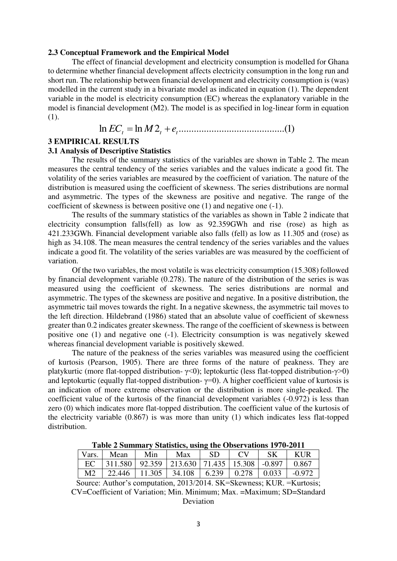#### **2.3 Conceptual Framework and the Empirical Model**

The effect of financial development and electricity consumption is modelled for Ghana to determine whether financial development affects electricity consumption in the long run and short run. The relationship between financial development and electricity consumption is (was) modelled in the current study in a bivariate model as indicated in equation (1). The dependent variable in the model is electricity consumption (EC) whereas the explanatory variable in the model is financial development (M2). The model is as specified in log-linear form in equation (1).

ln *EC<sup>t</sup>* ln *<sup>M</sup>*2*<sup>t</sup> e<sup>t</sup>* ..........................................( )1

#### **3 EMPIRICAL RESULTS**

## **3.1 Analysis of Descriptive Statistics**

The results of the summary statistics of the variables are shown in Table 2. The mean measures the central tendency of the series variables and the values indicate a good fit. The volatility of the series variables are measured by the coefficient of variation. The nature of the distribution is measured using the coefficient of skewness. The series distributions are normal and asymmetric. The types of the skewness are positive and negative. The range of the coefficient of skewness is between positive one (1) and negative one (-1).

The results of the summary statistics of the variables as shown in Table 2 indicate that electricity consumption falls(fell) as low as 92.359GWh and rise (rose) as high as 421.233GWh. Financial development variable also falls (fell) as low as 11.305 and (rose) as high as 34.108. The mean measures the central tendency of the series variables and the values indicate a good fit. The volatility of the series variables are was measured by the coefficient of variation.

Of the two variables, the most volatile is was electricity consumption (15.308) followed by financial development variable (0.278). The nature of the distribution of the series is was measured using the coefficient of skewness. The series distributions are normal and asymmetric. The types of the skewness are positive and negative. In a positive distribution, the asymmetric tail moves towards the right. In a negative skewness, the asymmetric tail moves to the left direction. Hildebrand (1986) stated that an absolute value of coefficient of skewness greater than 0.2 indicates greater skewness. The range of the coefficient of skewness is between positive one (1) and negative one (-1). Electricity consumption is was negatively skewed whereas financial development variable is positively skewed.

The nature of the peakness of the series variables was measured using the coefficient of kurtosis (Pearson, 1905). There are three forms of the nature of peakness. They are platykurtic (more flat-topped distribution-  $\gamma$ <0); leptokurtic (less flat-topped distribution- $\gamma$ >0) and leptokurtic (equally flat-topped distribution- $\gamma=0$ ). A higher coefficient value of kurtosis is an indication of more extreme observation or the distribution is more single-peaked. The coefficient value of the kurtosis of the financial development variables (-0.972) is less than zero (0) which indicates more flat-topped distribution. The coefficient value of the kurtosis of the electricity variable (0.867) is was more than unity (1) which indicates less flat-topped distribution.

| Vars. | Mean                                                               | $\blacksquare$ Min | Max | -SD | $\Gamma$ | $\mathsf{K}$ | <b>KUR</b> |
|-------|--------------------------------------------------------------------|--------------------|-----|-----|----------|--------------|------------|
|       | EC   311.580   92.359   213.630   71.435   15.308   -0.897   0.867 |                    |     |     |          |              |            |
|       | M2   22.446   11.305   34.108   6.239   0.278   0.033   -0.972     |                    |     |     |          |              |            |

**Table 2 Summary Statistics, using the Observations 1970-2011** 

Source: Author's computation, 2013/2014. SK=Skewness; KUR. =Kurtosis; CV=Coefficient of Variation; Min. Minimum; Max. =Maximum; SD=Standard Deviation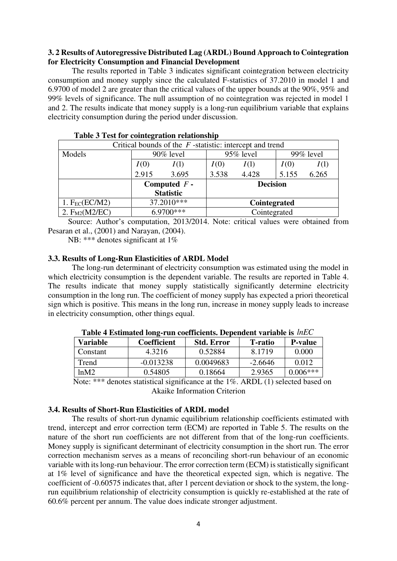## **3. 2 Results of Autoregressive Distributed Lag (ARDL) Bound Approach to Cointegration for Electricity Consumption and Financial Development**

The results reported in Table 3 indicates significant cointegration between electricity consumption and money supply since the calculated F-statistics of 37.2010 in model 1 and 6.9700 of model 2 are greater than the critical values of the upper bounds at the 90%, 95% and 99% levels of significance. The null assumption of no cointegration was rejected in model 1 and 2. The results indicate that money supply is a long-run equilibrium variable that explains electricity consumption during the period under discussion.

| Critical bounds of the $F$ -statistic: intercept and trend |                  |       |                 |           |       |              |  |
|------------------------------------------------------------|------------------|-------|-----------------|-----------|-------|--------------|--|
| Models                                                     | $90\%$ level     |       |                 | 95% level |       | $99\%$ level |  |
|                                                            | I(0)             | I(1)  | I(0)            | I(1)      | I(0)  | I(1)         |  |
|                                                            | 2.915            | 3.695 | 3.538           | 4.428     | 5.155 | 6.265        |  |
|                                                            | Computed $F$ -   |       | <b>Decision</b> |           |       |              |  |
|                                                            | <b>Statistic</b> |       |                 |           |       |              |  |
| 1. $F_{EC}(EC/M2)$                                         | 37.2010***       |       | Cointegrated    |           |       |              |  |
| 2. $F_{M2}(M2/EC)$                                         | $6.9700***$      |       | Cointegrated    |           |       |              |  |

 Source: Author's computation, 2013/2014. Note: critical values were obtained from Pesaran et al., (2001) and Narayan, (2004).

NB: \*\*\* denotes significant at 1%

## **3.3. Results of Long-Run Elasticities of ARDL Model**

The long-run determinant of electricity consumption was estimated using the model in which electricity consumption is the dependent variable. The results are reported in Table 4. The results indicate that money supply statistically significantly determine electricity consumption in the long run. The coefficient of money supply has expected a priori theoretical sign which is positive. This means in the long run, increase in money supply leads to increase in electricity consumption, other things equal.

| <b>Variable</b> | Coefficient | <b>Std. Error</b> | <b>T</b> -ratio | <b>P-value</b> |
|-----------------|-------------|-------------------|-----------------|----------------|
| Constant        | 4.3216      | 0.52884           | 8.1719          | 0.000          |
| Trend           | $-0.013238$ | 0.0049683         | $-2.6646$       | 0.012          |
| ln M2           | 0.54805     | 0.18664           | 2.9365          | $0.006***$     |

**Table 4 Estimated long-run coefficients. Dependent variable is** *lnEC*

 Note: \*\*\* denotes statistical significance at the 1%. ARDL (1) selected based on Akaike Information Criterion

## **3.4. Results of Short-Run Elasticities of ARDL model**

The results of short-run dynamic equilibrium relationship coefficients estimated with trend, intercept and error correction term (ECM) are reported in Table 5. The results on the nature of the short run coefficients are not different from that of the long-run coefficients. Money supply is significant determinant of electricity consumption in the short run. The error correction mechanism serves as a means of reconciling short-run behaviour of an economic variable with its long-run behaviour. The error correction term (ECM) is statistically significant at 1% level of significance and have the theoretical expected sign, which is negative. The coefficient of -0.60575 indicates that, after 1 percent deviation or shock to the system, the longrun equilibrium relationship of electricity consumption is quickly re-established at the rate of 60.6% percent per annum. The value does indicate stronger adjustment.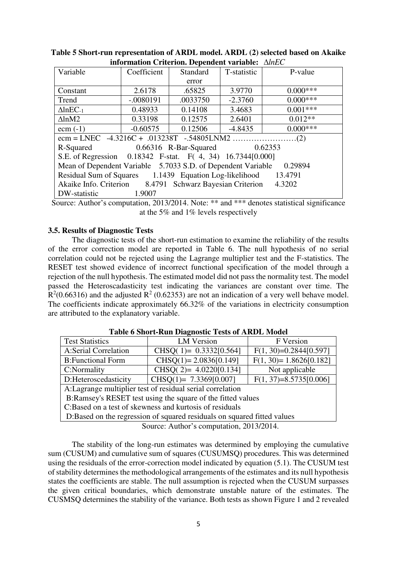| Variable                                                                | Coefficient | Standard | T-statistic | P-value    |  |
|-------------------------------------------------------------------------|-------------|----------|-------------|------------|--|
|                                                                         |             | error    |             |            |  |
| Constant                                                                | 2.6178      | .65825   | 3.9770      | $0.000***$ |  |
| Trend                                                                   | $-.0080191$ | .0033750 | $-2.3760$   | $0.000***$ |  |
| $\triangle$ lnEC <sub>-1</sub>                                          | 0.48933     | 0.14108  | 3.4683      | $0.001***$ |  |
| $\Delta$ lnM2                                                           | 0.33198     | 0.12575  | 2.6401      | $0.012**$  |  |
| ecm $(-1)$                                                              | $-0.60575$  | 0.12506  | $-4.8435$   | $0.000***$ |  |
|                                                                         |             |          |             |            |  |
| 0.66316 R-Bar-Squared 0.62353<br>R-Squared                              |             |          |             |            |  |
| S.E. of Regression 0.18342 F-stat. F(4, 34) 16.7344[0.000]              |             |          |             |            |  |
| Mean of Dependent Variable 5.7033 S.D. of Dependent Variable<br>0.29894 |             |          |             |            |  |
| Residual Sum of Squares 1.1439 Equation Log-likelihood 13.4791          |             |          |             |            |  |
| Akaike Info. Criterion 8.4791 Schwarz Bayesian Criterion 4.3202         |             |          |             |            |  |
| DW-statistic                                                            | 1.9007      |          |             |            |  |
|                                                                         |             |          |             |            |  |

**Table 5 Short-run representation of ARDL model. ARDL (2) selected based on Akaike information Criterion. Dependent variable:** *lnEC*

Source: Author's computation, 2013/2014. Note: \*\* and \*\*\* denotes statistical significance at the 5% and 1% levels respectively

## **3.5. Results of Diagnostic Tests**

The diagnostic tests of the short-run estimation to examine the reliability of the results of the error correction model are reported in Table 6. The null hypothesis of no serial correlation could not be rejected using the Lagrange multiplier test and the F-statistics. The RESET test showed evidence of incorrect functional specification of the model through a rejection of the null hypothesis. The estimated model did not pass the normality test. The model passed the Heteroscadasticity test indicating the variances are constant over time. The  $R<sup>2</sup>(0.66316)$  and the adjusted  $R<sup>2</sup>(0.62353)$  are not an indication of a very well behave model. The coefficients indicate approximately 66.32% of the variations in electricity consumption are attributed to the explanatory variable.

| <b>Test Statistics</b>                                                  | <b>LM</b> Version          | F Version                |  |  |  |
|-------------------------------------------------------------------------|----------------------------|--------------------------|--|--|--|
| <b>A:Serial Correlation</b>                                             | CHSQ( 1)= $0.3332[0.564]$  | $F(1, 30)=0.2844[0.597]$ |  |  |  |
| <b>B:</b> Functional Form                                               | $CHSO(1)=2.0836[0.149]$    | $F(1, 30)=1.8626[0.182]$ |  |  |  |
| C:Normality                                                             | CHSQ( $2$ )= 4.0220[0.134] | Not applicable           |  |  |  |
| D:Heteroscedasticity                                                    | CHSQ(1)= $7.3369[0.007]$   | $F(1, 37)=8.5735[0.006]$ |  |  |  |
| A: Lagrange multiplier test of residual serial correlation              |                            |                          |  |  |  |
| B:Ramsey's RESET test using the square of the fitted values             |                            |                          |  |  |  |
| C:Based on a test of skewness and kurtosis of residuals                 |                            |                          |  |  |  |
| D:Based on the regression of squared residuals on squared fitted values |                            |                          |  |  |  |
| $S_{\text{out}}$ , Author's commitation $2012/2014$                     |                            |                          |  |  |  |

**Table 6 Short-Run Diagnostic Tests of ARDL Model** 

Source: Author's computation, 2013/2014.

The stability of the long-run estimates was determined by employing the cumulative sum (CUSUM) and cumulative sum of squares (CUSUMSQ) procedures. This was determined using the residuals of the error-correction model indicated by equation (5.1). The CUSUM test of stability determines the methodological arrangements of the estimates and its null hypothesis states the coefficients are stable. The null assumption is rejected when the CUSUM surpasses the given critical boundaries, which demonstrate unstable nature of the estimates. The CUSMSQ determines the stability of the variance. Both tests as shown Figure 1 and 2 revealed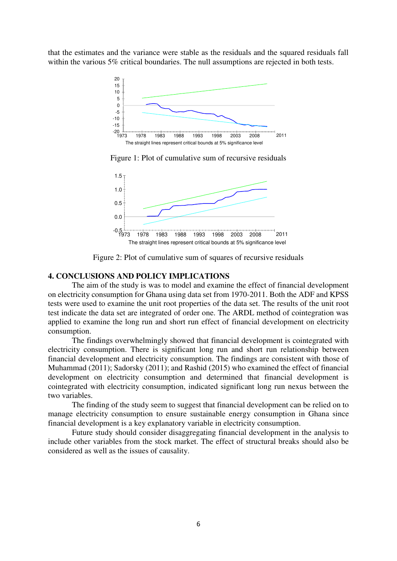that the estimates and the variance were stable as the residuals and the squared residuals fall within the various 5% critical boundaries. The null assumptions are rejected in both tests.



Figure 1: Plot of cumulative sum of recursive residuals



Figure 2: Plot of cumulative sum of squares of recursive residuals

## **4. CONCLUSIONS AND POLICY IMPLICATIONS**

The aim of the study is was to model and examine the effect of financial development on electricity consumption for Ghana using data set from 1970-2011. Both the ADF and KPSS tests were used to examine the unit root properties of the data set. The results of the unit root test indicate the data set are integrated of order one. The ARDL method of cointegration was applied to examine the long run and short run effect of financial development on electricity consumption.

The findings overwhelmingly showed that financial development is cointegrated with electricity consumption. There is significant long run and short run relationship between financial development and electricity consumption. The findings are consistent with those of Muhammad (2011); Sadorsky (2011); and Rashid (2015) who examined the effect of financial development on electricity consumption and determined that financial development is cointegrated with electricity consumption, indicated significant long run nexus between the two variables.

 The finding of the study seem to suggest that financial development can be relied on to manage electricity consumption to ensure sustainable energy consumption in Ghana since financial development is a key explanatory variable in electricity consumption.

Future study should consider disaggregating financial development in the analysis to include other variables from the stock market. The effect of structural breaks should also be considered as well as the issues of causality.